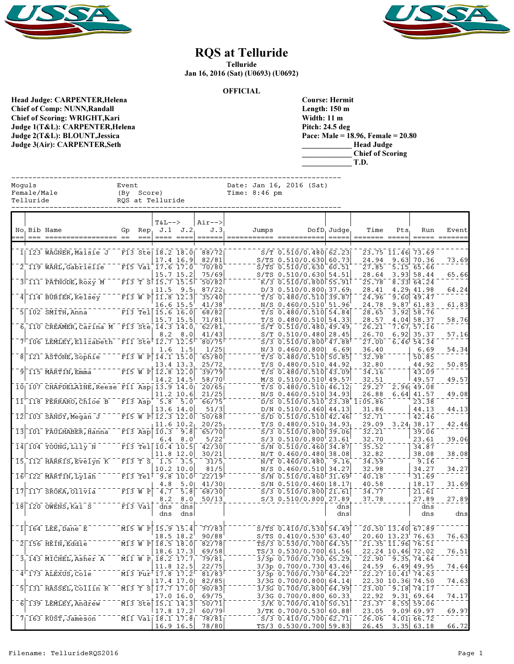



## RQS at Telluride

Telluride

Jan 16, 2016 (Sat) (U0693) (U0692)

**OFFICIAL** 

Head Judge: CARPENTER,Helena Chief of Comp: NUNN,Randall Chief of Scoring: WRIGHT,Kari Judge 1(T&L): CARPENTER,Helena Judge 2(T&L): BLOUNT,Jessica Judge 3(Air): CARPENTER,Seth

| <b>Course: Hermit</b>                |
|--------------------------------------|
| Length: 150 m                        |
| Width: 11 m                          |
| Pitch: 24.5 deg                      |
| Pace: Male = 18.96, Female = $20.80$ |
| <b>Head Judge</b>                    |
| <b>Chief of Scoring</b>              |
| T.D.                                 |

| Moguls<br>Female/Male<br>Telluride                       | Event | (By Score)                      | RQS at Telluride                                                                     |                                          |                          | Time: $8:46$ pm | Date: Jan 16, 2016 (Sat)                            |                |                                          |      |                                              |       |
|----------------------------------------------------------|-------|---------------------------------|--------------------------------------------------------------------------------------|------------------------------------------|--------------------------|-----------------|-----------------------------------------------------|----------------|------------------------------------------|------|----------------------------------------------|-------|
| No Bib Name                                              | Gp    | Rep                             | $T&L-->$                                                                             | $J.1$ $J.2$                              | $Air--$<br>J.3<br>====== | Jumps           |                                                     | $DofD_1$ Judge | Time                                     | Pts  | Run                                          | Event |
| 1  123 WAGNER, Maisie J                                  |       |                                 | F13 Ste 18.2 18.0                                                                    |                                          | 88/72                    |                 | $S/T$ 0.510/0.480 62.23                             |                |                                          |      | 23.75 11.46 73.69                            |       |
|                                                          |       |                                 | 17.4 16.9                                                                            |                                          | 82/81                    |                 | $S/TS$ 0.510/0.630 60.73                            |                | 24.94                                    |      | $9.63$ 70.36                                 | 73.69 |
| 2 119 WAHL, Gabrielle                                    |       |                                 | F15 Vai 17.6 17.0                                                                    |                                          | 70/80                    |                 | $S/TS$ 0.510/0.630 60.51                            |                | 27.85                                    | 5.15 | 65.66                                        |       |
| 3 111 PATNODE, ROXY M                                    |       |                                 | 15.7 15.2<br>$F13$ T $S$ $\overline{15.7}$ $\overline{15.5}$                         |                                          | 75/69<br>50/82           |                 | $S/TS$ 0.510/0.630 54.51<br>$K/3$ 0.510/0.800 55.91 |                | 28.64<br>25.78                           |      | 3.93 58.44<br>8.33 64.24                     | 65.66 |
|                                                          |       |                                 | 11.5                                                                                 | 9.5                                      | 87/221                   |                 | $D/3$ 0.510/0.800 37.69                             |                | 28.41                                    |      | $4.29$ 41.98                                 | 64.24 |
| 4 114 BUBIER, Kelsey                                     |       | F13 W P                         | 11.8 12.3                                                                            |                                          | 35/40                    |                 | $T/S$ 0.480/0.510                                   | 39.87          | 24.96                                    |      | $9.60$ 49.47                                 |       |
|                                                          |       |                                 | 16.6 15.5                                                                            |                                          | 41/38                    |                 | N/S 0.460/0.510 51.96                               |                | 24.78                                    |      | 9.87 61.83                                   | 61.83 |
| $5$ 102 SMITH, Anna                                      |       |                                 | $F13$ Tel $15.6$ $16.0$<br>15.7 15.5                                                 |                                          | 68/82<br>71/81           |                 | $T/S$ 0.480/0.510 54.84<br>$T/S$ 0.480/0.510 54.33  |                | 28.65<br>28.57                           |      | $3.92$ $58.76$<br>$4.04$ 58.37               | 58.76 |
| $6_1$ 110 CREAMER, Carina M F13 Ste 14.3 14.0            |       |                                 |                                                                                      |                                          | 62/81                    |                 | $S/T$ 0.510/0.480, 49.49                            |                | 26.21                                    |      | 7.67, 57.16                                  |       |
|                                                          |       |                                 | 8.2                                                                                  | 8.0                                      | 41/43                    |                 | $S/T$ 0.510/0.480 28.45                             |                | 26.70                                    |      | $6.92$ 35.37                                 | 57.16 |
| $7$ 106 LEMLEY, Elizabeth F11 Ste <sup>F</sup> 12.7 12.5 |       |                                 |                                                                                      |                                          | 80/75                    |                 | $S/3$ 0.510/0.800 47.88                             |                | 27.00                                    |      | $6.46$ <sup>1</sup> 54.34                    |       |
|                                                          |       |                                 | 1.6                                                                                  | 1.5                                      | 1/25                     |                 | $N/3$ 0.460/0.800                                   | 6.69           | 36.40                                    |      | 6.69                                         | 54.34 |
| 8 121 ASTONE, Sophie                                     |       |                                 | $\overline{F13}$ W P $\overline{14.1}$ 15.0<br>13.4 13.3                             |                                          | 65/80<br>25/72           |                 | $T/S$ 0.480/0.510 50.85<br>$T/S$ 0.480/0.510 44.92  |                | 32.98<br>32.80                           |      | 50.85<br>44.92                               | 50.85 |
| $9$ 115 MARTIN, Emma                                     |       |                                 | $\overline{F15}$ W $\overline{P}$ 12.8 12.0                                          |                                          | 39/79                    |                 | $T/S$ 0.480/0.510 43.09                             |                | 34.16                                    |      | 43.09                                        |       |
|                                                          |       |                                 | 14.2 14.5                                                                            |                                          | 58/70                    |                 | M/S 0.510/0.510 49.57                               |                | 32.51                                    |      | 49.57                                        | 49.57 |
| 10 107 CHAPDELAINE, Reese F11 Asp 13.9 14.0              |       |                                 |                                                                                      |                                          | 20/65                    |                 | $T/S$ 0.480/0.510 46.12                             |                | 29.27                                    |      | 2.96 49.08                                   |       |
|                                                          |       |                                 | 11.2 10.6                                                                            |                                          | 21/25                    |                 | $N/S$ 0.460/0.510 34.93                             |                | 26.88                                    |      | $6.64$ 41.57                                 | 49.08 |
| 11 118 FERRARO, Chloe B                                  |       | F13 Asp                         | $-5.8$<br>13.6 14.0                                                                  | 5.0                                      | 66/75<br>51/3            |                 | D/N 0.510/0.460 44.13                               |                | $D/S$ 0.510/0.510 23.38 1:05.86<br>31.86 |      | 23.38<br>44.13                               | 44.13 |
| $12$ 103 SANDY, Megan J                                  |       |                                 | $F15$ W P $12.3$ 12.0                                                                |                                          | 50/68                    |                 | $S/D$ 0.510/0.510 42.46                             |                | 32.71                                    |      | 42.46                                        |       |
|                                                          |       |                                 | $11.6$ 10.2                                                                          |                                          | 20/25                    |                 | $T/S$ 0.480/0.510 34.93                             |                | 29.09                                    |      | 3.24, 38.17                                  | 42.46 |
| 13 101 FAULHABER, Hanna                                  |       |                                 | F13 Asp 10.3                                                                         | 9.8                                      | 65/70                    |                 | $S/3$ 0.510/0.800 39.06                             |                | 32.21                                    |      | 39.06                                        |       |
| $14$ 104 YOUNG, Lily N                                   |       |                                 | 6.4<br>$F13$ Tel $10.4$ 10.5                                                         | 8.0                                      | 5/22<br>42/30            |                 | $S/3$ 0.510/0.800 23.61<br>$S/N$ 0.510/0.460 34.87  |                | 32.70<br>35.52                           |      | 23.61<br>34.87                               | 39.06 |
|                                                          |       |                                 | 11.8 12.0                                                                            |                                          | 30/21                    |                 | N/T 0.460/0.480 38.08                               |                | 32.82                                    |      | 38.08                                        | 38.08 |
| 15 112 HARRIS, Evelyn K                                  |       | F13 T S                         | 1.5                                                                                  | $-3.5$                                   | 31/5                     |                 | $N/T$ 0.460/0.480                                   | 9.16           | 34.59                                    |      | 9.16                                         |       |
|                                                          |       |                                 | 10.2 10.0                                                                            |                                          | 81/5                     |                 | N/S 0.460/0.510 34.27                               |                | 32.98                                    |      | 34.27                                        | 34.27 |
| 16 <sup>-122</sup> MARTIN, Lylah                         |       | $\overline{F13}$ Tell           | $9.8 \ 10.0$                                                                         |                                          | 22/19                    |                 | $S/N$ 0.510/0.460 31.69                             |                | 40.18                                    |      | 31.69                                        |       |
| 117 SROKA, Olivia<br>17                                  |       | F13 W P                         | 4.8<br>$\overline{4.7}$                                                              | 5.0<br>$\overline{5} \cdot \overline{8}$ | 41/30                    |                 | $S/N$ 0.510/0.460 18.17<br>$S/3$ 0.510/0.800 21.61  |                | 40.58<br>34.77                           |      | 18.17<br>21.61                               | 31.69 |
|                                                          |       |                                 | 8.2                                                                                  | 8.0                                      | 68/30<br>50/13           |                 | S/3 0.510/0.800 27.89                               |                | 37.78                                    |      | 27.89                                        | 27.89 |
| $18$ 120 OWENS, Kai S                                    |       | $\overline{F13} \overline{Va1}$ | dns                                                                                  | dns                                      |                          |                 |                                                     | dns            |                                          |      | dns                                          |       |
|                                                          |       |                                 | dns                                                                                  | dns                                      |                          |                 |                                                     | dnsl           |                                          |      | dns                                          | dns   |
|                                                          |       |                                 |                                                                                      |                                          |                          |                 |                                                     |                |                                          |      |                                              |       |
| 164 LEE, Dane E<br>1 <sup>1</sup>                        |       | M15 W P                         | 15.9 15.4<br>18.5 18.2                                                               |                                          | 77/83<br>90/88           |                 | $S/TS$ 0.410/0.530 54.49<br>S/TS 0.410/0.530 63.40  |                |                                          |      | 20.50 13.40 67.89<br>20.60 13.23 76.63       | 76.63 |
| $2$ 156 HEIN, Eddie                                      |       |                                 | M13 W P 18.5 18.0                                                                    |                                          | 82/78                    |                 | TS/3 0.530/0.700 64.55                              |                |                                          |      | $21.35$ $11.96$ 76.51                        |       |
|                                                          |       |                                 | $18.6$ 17.3                                                                          |                                          | 69/58                    |                 | TS/3 0.530/0.700 61.56                              |                |                                          |      | 22.24 10.46 72.02                            | 76.51 |
| 3 143 MICHEL, Asher A                                    |       |                                 | M11 W P 18.2 17.7                                                                    |                                          | 79/81                    |                 | 3/3p  0.700/0.730  65.29                            |                | 22.90                                    |      | 9.35, 74.64                                  |       |
|                                                          |       |                                 | 11.8 12.5                                                                            |                                          | 22/75                    |                 | 3/3p 0.700/0.730 43.46                              |                | 24.59                                    |      | $6.49$ 49.95                                 | 74.64 |
| $4^{\text{-}}173$ ALEXUS, Cole                           |       |                                 | $\overline{M13}$ Pur <sup>r</sup> $\overline{17.8}$ $\overline{17.2}$<br>$17.4$ 17.0 |                                          | 81/83<br>82/85           |                 | $3/3p$ 0.700/0.730 64.22<br>3/3G 0.700/0.800 64.14  |                |                                          |      | $22.27$ $10.41$ $74.63$<br>22.30 10.36 74.50 | 74.63 |
| 5 131 HASSEL, Collin R                                   |       |                                 | $\overline{M13}$ T $\overline{S}$ $\overline{17.7}$ $\overline{17.0}$                |                                          | 90/83                    |                 | 3/3G 0.700/0.800 64.99                              |                | 23.00                                    |      | $-9.18$ 74.17                                |       |
|                                                          |       |                                 | 17.0 16.0                                                                            |                                          | 69/75                    |                 | 3/3G 0.700/0.800 60.33                              |                | 22.92                                    |      | 9.31, 69.64                                  | 74.17 |
| 139 LEMLEY, Andrew<br>6                                  |       |                                 | $\overline{M13}$ Ste $\overline{15.1}$ $\overline{14.3}$                             |                                          | 50/71                    |                 | $3/K$ 0.700/0.410 50.51                             |                | 23.37                                    |      | $8.55$ $59.06$                               |       |
|                                                          |       |                                 | $17.8$ 17.2                                                                          |                                          | 60/79                    |                 | 3/TK 0.700/0.530 60.88                              |                | 23.05                                    |      | 9.09669.97                                   | 69.97 |
| $71163$ KUST, Jameson                                    |       |                                 | $\overline{M11} \overline{V}a1$ $\overline{18.1} \overline{17.8}$<br>16.9 16.5       |                                          | 78/81<br>78/80           |                 | $S/3$ 0.410/0.700 62.71<br>TS/3 0.530/0.700 59.83   |                | 26.06<br>26.45                           |      | $4.01$ 66.72<br>3.35   63.18                 | 66.72 |